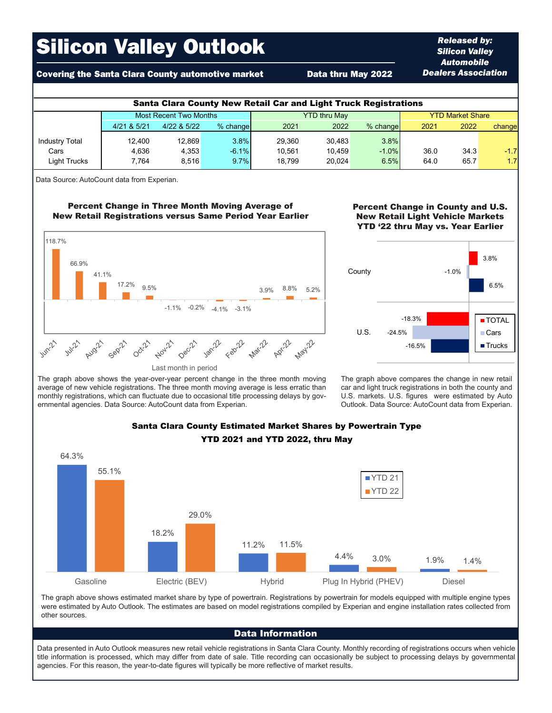# Silicon Valley Outlook

# Covering the Santa Clara County automotive market **Data thru May 2022**

| <b>Santa Clara County New Retail Car and Light Truck Registrations</b> |                               |             |          |                     |        |          |                         |      |        |  |  |
|------------------------------------------------------------------------|-------------------------------|-------------|----------|---------------------|--------|----------|-------------------------|------|--------|--|--|
|                                                                        | <b>Most Recent Two Months</b> |             |          | <b>YTD thru May</b> |        |          | <b>YTD Market Share</b> |      |        |  |  |
|                                                                        | 4/21 & 5/21                   | 4/22 & 5/22 | % change | 2021                | 2022   | % change | 2021                    | 2022 | change |  |  |
| <b>Industry Total</b>                                                  | 12.400                        | 12.869      | 3.8%     | 29.360              | 30.483 | 3.8%     |                         |      |        |  |  |
| Cars                                                                   | 4.636                         | 4.353       | $-6.1%$  | 10.561              | 10.459 | $-1.0%$  | 36.0                    | 34.3 | $-1.7$ |  |  |
| Light Trucks                                                           | 7.764                         | 8.516       | 9.7%     | 18.799              | 20.024 | 6.5%     | 64.0                    | 65.7 | 1.7    |  |  |

Data Source: AutoCount data from Experian.

# Percent Change in Three Month Moving Average of New Retail Registrations versus Same Period Year Earlier



## Percent Change in County and U.S. New Retail Light Vehicle Markets YTD '22 thru May vs. Year Earlier

*Released by: Silicon Valley Automobile Dealers Association*



The graph above shows the year-over-year percent change in the three month moving average of new vehicle registrations. The three month moving average is less erratic than monthly registrations, which can fluctuate due to occasional title processing delays by governmental agencies. Data Source: AutoCount data from Experian.

The graph above compares the change in new retail car and light truck registrations in both the county and U.S. markets. U.S. figures were estimated by Auto Outlook. Data Source: AutoCount data from Experian.



# Santa Clara County Estimated Market Shares by Powertrain Type YTD 2021 and YTD 2022, thru May

The graph above shows estimated market share by type of powertrain. Registrations by powertrain for models equipped with multiple engine types were estimated by Auto Outlook. The estimates are based on model registrations compiled by Experian and engine installation rates collected from other sources.

#### Data Information

Data presented in Auto Outlook measures new retail vehicle registrations in Santa Clara County. Monthly recording of registrations occurs when vehicle title information is processed, which may differ from date of sale. Title recording can occasionally be subject to processing delays by governmental agencies. For this reason, the year-to-date figures will typically be more reflective of market results.